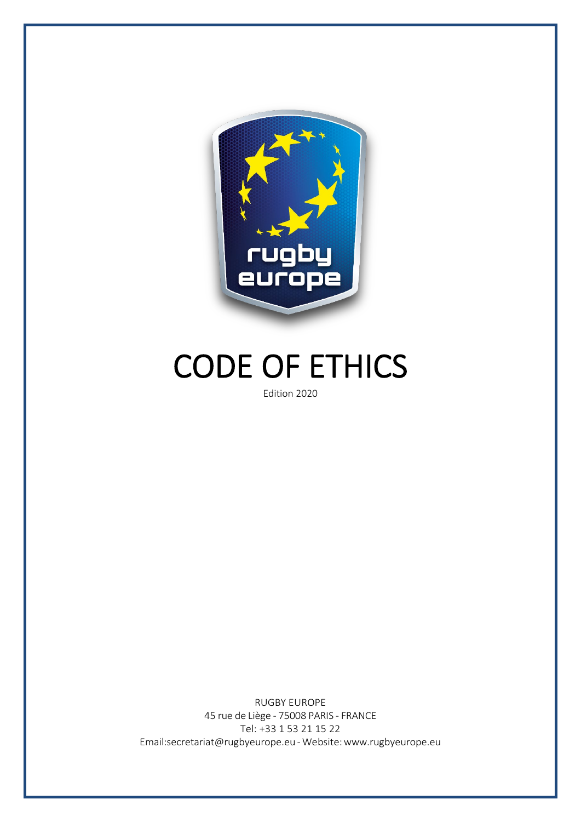

# CODE OF ETHICS

RUGBY EUROPE 45 rue de Liège - 75008 PARIS - FRANCE Tel: +33 1 53 21 15 22 [Email:secretariat@rugbyeurope.eu](mailto:secretariat@rugbyeurope.eu) -Website[:www.rugbyeurope.eu](http://www.rugbyeurope.eu/)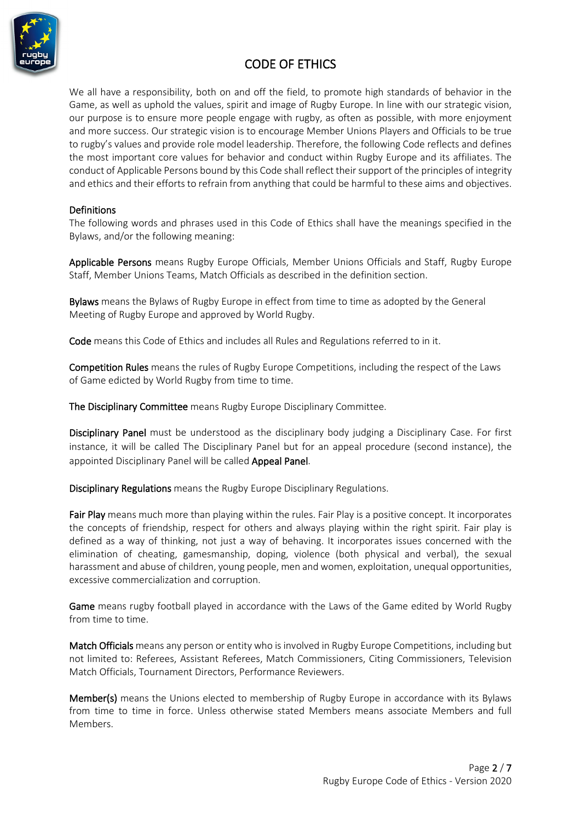

# CODE OF ETHICS

We all have a responsibility, both on and off the field, to promote high standards of behavior in the Game, as well as uphold the values, spirit and image of Rugby Europe. In line with our strategic vision, our purpose is to ensure more people engage with rugby, as often as possible, with more enjoyment and more success. Our strategic vision is to encourage Member Unions Players and Officials to be true to rugby's values and provide role model leadership. Therefore, the following Code reflects and defines the most important core values for behavior and conduct within Rugby Europe and its affiliates. The conduct of Applicable Persons bound by this Code shall reflect their support of the principles of integrity and ethics and their efforts to refrain from anything that could be harmful to these aims and objectives.

#### Definitions

The following words and phrases used in this Code of Ethics shall have the meanings specified in the Bylaws, and/or the following meaning:

Applicable Persons means Rugby Europe Officials, Member Unions Officials and Staff, Rugby Europe Staff, Member Unions Teams, Match Officials as described in the definition section.

Bylaws means the Bylaws of Rugby Europe in effect from time to time as adopted by the General Meeting of Rugby Europe and approved by World Rugby.

Code means this Code of Ethics and includes all Rules and Regulations referred to in it.

Competition Rules means the rules of Rugby Europe Competitions, including the respect of the Laws of Game edicted by World Rugby from time to time.

The Disciplinary Committee means Rugby Europe Disciplinary Committee.

Disciplinary Panel must be understood as the disciplinary body judging a Disciplinary Case. For first instance, it will be called The Disciplinary Panel but for an appeal procedure (second instance), the appointed Disciplinary Panel will be called Appeal Panel.

Disciplinary Regulations means the Rugby Europe Disciplinary Regulations.

Fair Play means much more than playing within the rules. Fair Play is a positive concept. It incorporates the concepts of friendship, respect for others and always playing within the right spirit. Fair play is defined as a way of thinking, not just a way of behaving. It incorporates issues concerned with the elimination of cheating, gamesmanship, doping, violence (both physical and verbal), the sexual harassment and abuse of children, young people, men and women, exploitation, unequal opportunities, excessive commercialization and corruption.

Game means rugby football played in accordance with the Laws of the Game edited by World Rugby from time to time.

Match Officials means any person or entity who is involved in Rugby Europe Competitions, including but not limited to: Referees, Assistant Referees, Match Commissioners, Citing Commissioners, Television Match Officials, Tournament Directors, Performance Reviewers.

Member(s) means the Unions elected to membership of Rugby Europe in accordance with its Bylaws from time to time in force. Unless otherwise stated Members means associate Members and full Members.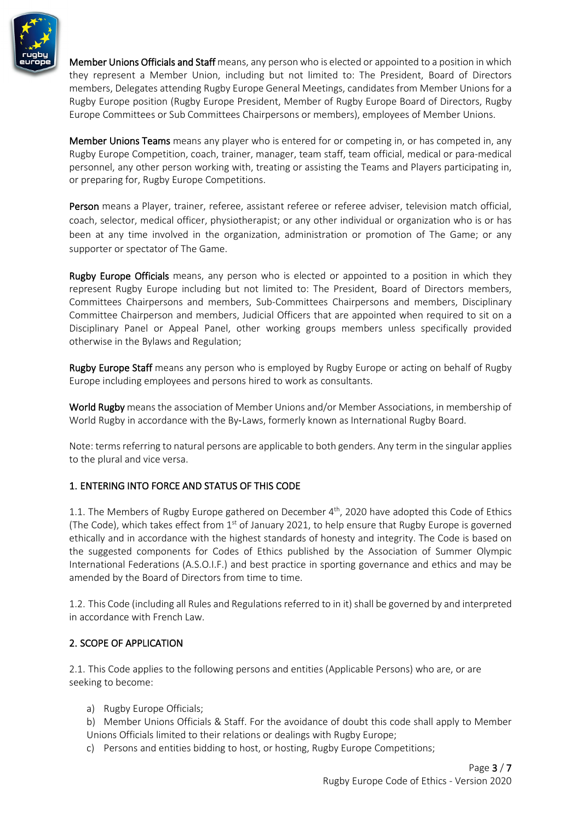

Member Unions Officials and Staff means, any person who is elected or appointed to a position in which they represent a Member Union, including but not limited to: The President, Board of Directors members, Delegates attending Rugby Europe General Meetings, candidates from Member Unions for a Rugby Europe position (Rugby Europe President, Member of Rugby Europe Board of Directors, Rugby Europe Committees or Sub Committees Chairpersons or members), employees of Member Unions.

Member Unions Teams means any player who is entered for or competing in, or has competed in, any Rugby Europe Competition, coach, trainer, manager, team staff, team official, medical or para-medical personnel, any other person working with, treating or assisting the Teams and Players participating in, or preparing for, Rugby Europe Competitions.

Person means a Player, trainer, referee, assistant referee or referee adviser, television match official, coach, selector, medical officer, physiotherapist; or any other individual or organization who is or has been at any time involved in the organization, administration or promotion of The Game; or any supporter or spectator of The Game.

**Rugby Europe Officials** means, any person who is elected or appointed to a position in which they represent Rugby Europe including but not limited to: The President, Board of Directors members, Committees Chairpersons and members, Sub-Committees Chairpersons and members, Disciplinary Committee Chairperson and members, Judicial Officers that are appointed when required to sit on a Disciplinary Panel or Appeal Panel, other working groups members unless specifically provided otherwise in the Bylaws and Regulation;

Rugby Europe Staff means any person who is employed by Rugby Europe or acting on behalf of Rugby Europe including employees and persons hired to work as consultants.

World Rugby means the association of Member Unions and/or Member Associations, in membership of World Rugby in accordance with the By-Laws, formerly known as International Rugby Board.

Note: terms referring to natural persons are applicable to both genders. Any term in the singular applies to the plural and vice versa.

# 1. ENTERING INTO FORCE AND STATUS OF THIS CODE

1.1. The Members of Rugby Europe gathered on December 4<sup>th</sup>, 2020 have adopted this Code of Ethics (The Code), which takes effect from  $1<sup>st</sup>$  of January 2021, to help ensure that Rugby Europe is governed ethically and in accordance with the highest standards of honesty and integrity. The Code is based on the suggested components for Codes of Ethics published by the Association of Summer Olympic International Federations (A.S.O.I.F.) and best practice in sporting governance and ethics and may be amended by the Board of Directors from time to time.

1.2. This Code (including all Rules and Regulations referred to in it) shall be governed by and interpreted in accordance with French Law.

# 2. SCOPE OF APPLICATION

2.1. This Code applies to the following persons and entities (Applicable Persons) who are, or are seeking to become:

- a) Rugby Europe Officials;
- b) Member Unions Officials & Staff. For the avoidance of doubt this code shall apply to Member Unions Officials limited to their relations or dealings with Rugby Europe;
- c) Persons and entities bidding to host, or hosting, Rugby Europe Competitions;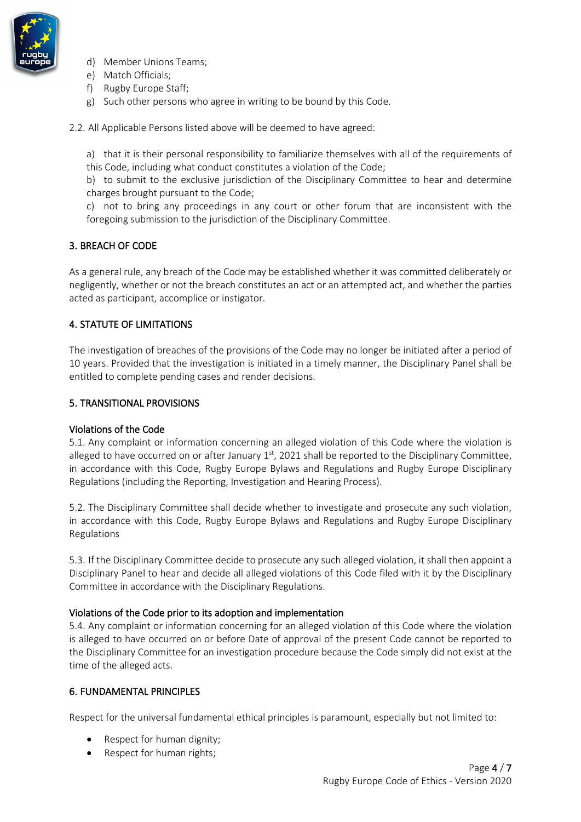

- d) Member Unions Teams;
- e) Match Officials;
- f) Rugby Europe Staff;
- g) Such other persons who agree in writing to be bound by this Code.

2.2. All Applicable Persons listed above will be deemed to have agreed:

a) that it is their personal responsibility to familiarize themselves with all of the requirements of this Code, including what conduct constitutes a violation of the Code;

b) to submit to the exclusive jurisdiction of the Disciplinary Committee to hear and determine charges brought pursuant to the Code;

c) not to bring any proceedings in any court or other forum that are inconsistent with the foregoing submission to the jurisdiction of the Disciplinary Committee.

## 3. BREACH OF CODE

As a general rule, any breach of the Code may be established whether it was committed deliberately or negligently, whether or not the breach constitutes an act or an attempted act, and whether the parties acted as participant, accomplice or instigator.

# 4. STATUTE OF LIMITATIONS

The investigation of breaches of the provisions of the Code may no longer be initiated after a period of 10 years. Provided that the investigation is initiated in a timely manner, the Disciplinary Panel shall be entitled to complete pending cases and render decisions.

## 5. TRANSITIONAL PROVISIONS

#### Violations of the Code

5.1. Any complaint or information concerning an alleged violation of this Code where the violation is alleged to have occurred on or after January  $1<sup>st</sup>$ , 2021 shall be reported to the Disciplinary Committee, in accordance with this Code, Rugby Europe Bylaws and Regulations and Rugby Europe Disciplinary Regulations (including the Reporting, Investigation and Hearing Process).

5.2. The Disciplinary Committee shall decide whether to investigate and prosecute any such violation, in accordance with this Code, Rugby Europe Bylaws and Regulations and Rugby Europe Disciplinary Regulations

5.3. If the Disciplinary Committee decide to prosecute any such alleged violation, it shall then appoint a Disciplinary Panel to hear and decide all alleged violations of this Code filed with it by the Disciplinary Committee in accordance with the Disciplinary Regulations.

#### Violations of the Code prior to its adoption and implementation

5.4. Any complaint or information concerning for an alleged violation of this Code where the violation is alleged to have occurred on or before Date of approval of the present Code cannot be reported to the Disciplinary Committee for an investigation procedure because the Code simply did not exist at the time of the alleged acts.

## 6. FUNDAMENTAL PRINCIPLES

Respect for the universal fundamental ethical principles is paramount, especially but not limited to:

- Respect for human dignity;
- Respect for human rights;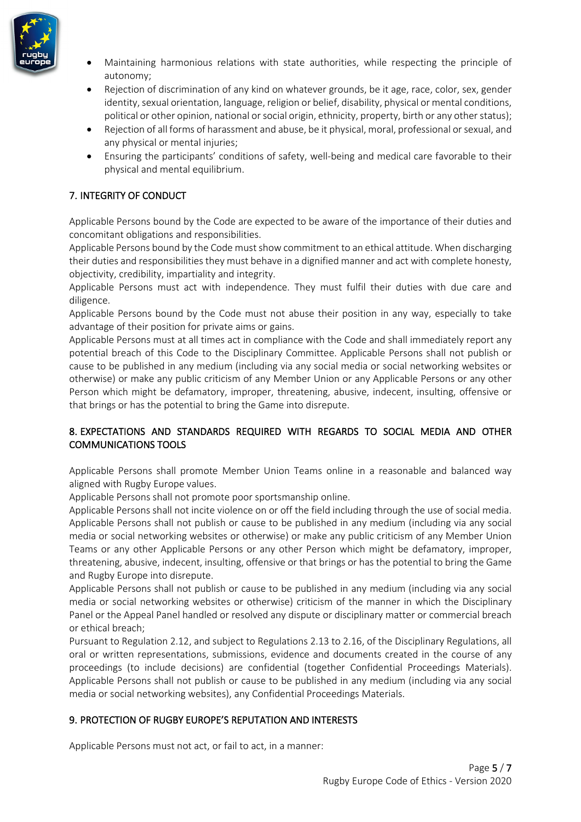

- Maintaining harmonious relations with state authorities, while respecting the principle of autonomy;
- Rejection of discrimination of any kind on whatever grounds, be it age, race, color, sex, gender identity, sexual orientation, language, religion or belief, disability, physical or mental conditions, political or other opinion, national or social origin, ethnicity, property, birth or any other status);
- Rejection of all forms of harassment and abuse, be it physical, moral, professional or sexual, and any physical or mental injuries;
- Ensuring the participants' conditions of safety, well-being and medical care favorable to their physical and mental equilibrium.

# 7. INTEGRITY OF CONDUCT

Applicable Persons bound by the Code are expected to be aware of the importance of their duties and concomitant obligations and responsibilities.

Applicable Persons bound by the Code must show commitment to an ethical attitude. When discharging their duties and responsibilities they must behave in a dignified manner and act with complete honesty, objectivity, credibility, impartiality and integrity.

Applicable Persons must act with independence. They must fulfil their duties with due care and diligence.

Applicable Persons bound by the Code must not abuse their position in any way, especially to take advantage of their position for private aims or gains.

Applicable Persons must at all times act in compliance with the Code and shall immediately report any potential breach of this Code to the Disciplinary Committee. Applicable Persons shall not publish or cause to be published in any medium (including via any social media or social networking websites or otherwise) or make any public criticism of any Member Union or any Applicable Persons or any other Person which might be defamatory, improper, threatening, abusive, indecent, insulting, offensive or that brings or has the potential to bring the Game into disrepute.

# 8. EXPECTATIONS AND STANDARDS REQUIRED WITH REGARDS TO SOCIAL MEDIA AND OTHER COMMUNICATIONS TOOLS

Applicable Persons shall promote Member Union Teams online in a reasonable and balanced way aligned with Rugby Europe values.

Applicable Persons shall not promote poor sportsmanship online.

Applicable Persons shall not incite violence on or off the field including through the use of social media. Applicable Persons shall not publish or cause to be published in any medium (including via any social media or social networking websites or otherwise) or make any public criticism of any Member Union Teams or any other Applicable Persons or any other Person which might be defamatory, improper, threatening, abusive, indecent, insulting, offensive or that brings or has the potential to bring the Game and Rugby Europe into disrepute.

Applicable Persons shall not publish or cause to be published in any medium (including via any social media or social networking websites or otherwise) criticism of the manner in which the Disciplinary Panel or the Appeal Panel handled or resolved any dispute or disciplinary matter or commercial breach or ethical breach;

Pursuant to Regulation 2.12, and subject to Regulations 2.13 to 2.16, of the Disciplinary Regulations, all oral or written representations, submissions, evidence and documents created in the course of any proceedings (to include decisions) are confidential (together Confidential Proceedings Materials). Applicable Persons shall not publish or cause to be published in any medium (including via any social media or social networking websites), any Confidential Proceedings Materials.

# 9. PROTECTION OF RUGBY EUROPE'S REPUTATION AND INTERESTS

Applicable Persons must not act, or fail to act, in a manner: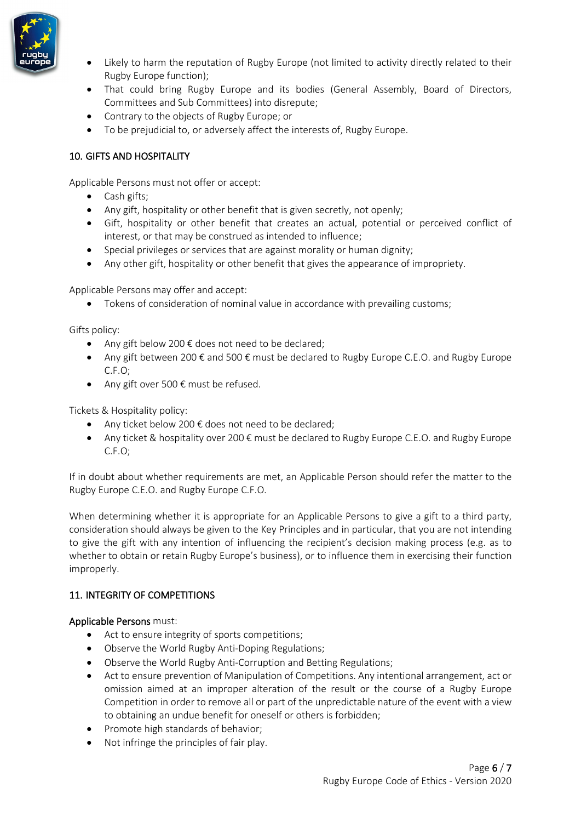

- Likely to harm the reputation of Rugby Europe (not limited to activity directly related to their Rugby Europe function);
- That could bring Rugby Europe and its bodies (General Assembly, Board of Directors, Committees and Sub Committees) into disrepute;
- Contrary to the objects of Rugby Europe; or
- To be prejudicial to, or adversely affect the interests of, Rugby Europe.

# 10. GIFTS AND HOSPITALITY

Applicable Persons must not offer or accept:

- Cash gifts;
- Any gift, hospitality or other benefit that is given secretly, not openly;
- Gift, hospitality or other benefit that creates an actual, potential or perceived conflict of interest, or that may be construed as intended to influence;
- Special privileges or services that are against morality or human dignity;
- Any other gift, hospitality or other benefit that gives the appearance of impropriety.

Applicable Persons may offer and accept:

• Tokens of consideration of nominal value in accordance with prevailing customs;

Gifts policy:

- Any gift below 200  $\epsilon$  does not need to be declared;
- Any gift between 200 € and 500 € must be declared to Rugby Europe C.E.O. and Rugby Europe C.F.O;
- Any gift over 500  $\epsilon$  must be refused.

Tickets & Hospitality policy:

- Any ticket below 200  $\epsilon$  does not need to be declared;
- Any ticket & hospitality over 200  $\epsilon$  must be declared to Rugby Europe C.E.O. and Rugby Europe C.F.O;

If in doubt about whether requirements are met, an Applicable Person should refer the matter to the Rugby Europe C.E.O. and Rugby Europe C.F.O.

When determining whether it is appropriate for an Applicable Persons to give a gift to a third party, consideration should always be given to the Key Principles and in particular, that you are not intending to give the gift with any intention of influencing the recipient's decision making process (e.g. as to whether to obtain or retain Rugby Europe's business), or to influence them in exercising their function improperly.

## 11. INTEGRITY OF COMPETITIONS

#### Applicable Persons must:

- Act to ensure integrity of sports competitions;
- Observe the World Rugby Anti-Doping Regulations;
- Observe the World Rugby Anti-Corruption and Betting Regulations;
- Act to ensure prevention of Manipulation of Competitions. Any intentional arrangement, act or omission aimed at an improper alteration of the result or the course of a Rugby Europe Competition in order to remove all or part of the unpredictable nature of the event with a view to obtaining an undue benefit for oneself or others is forbidden;
- Promote high standards of behavior;
- Not infringe the principles of fair play.